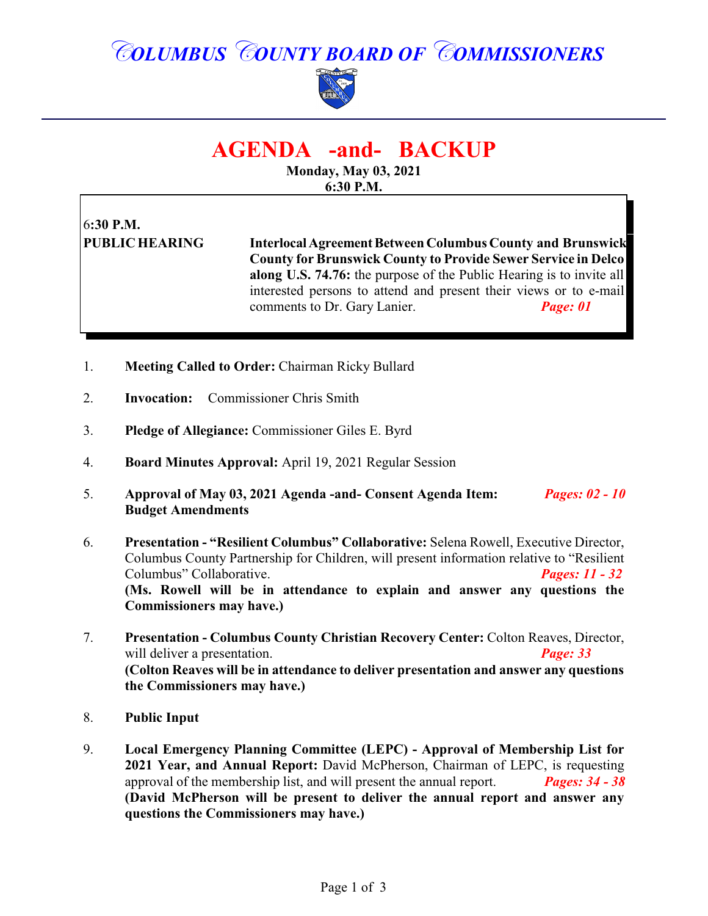## *COLUMBUS COUNTY BOARD OF COMMISSIONERS*



### **AGENDA -and- BACKUP**

**Monday, May 03, 2021 6:30 P.M.**

# 6**:30 P.M.**

**PUBLIC HEARING InterlocalAgreementBetween Columbus County and Brunswick County for Brunswick County to Provide Sewer Service in Delco along U.S. 74.76:** the purpose of the Public Hearing is to invite all interested persons to attend and present their views or to e-mail comments to Dr. Gary Lanier. *Page: 01*

- 1. **Meeting Called to Order:** Chairman Ricky Bullard
- 2. **Invocation:** Commissioner Chris Smith
- 3. **Pledge of Allegiance:** Commissioner Giles E. Byrd
- 4. **Board Minutes Approval:** April 19, 2021 Regular Session
- 5. **Approval of May 03, 2021 Agenda -and- Consent Agenda Item:** *Pages: 02 10* **Budget Amendments**
- 6. **Presentation "Resilient Columbus" Collaborative:** Selena Rowell, Executive Director, Columbus County Partnership for Children, will present information relative to "Resilient Columbus" Collaborative. *Pages: 11 - 32* **(Ms. Rowell will be in attendance to explain and answer any questions the Commissioners may have.)**
- 7. **Presentation Columbus County Christian Recovery Center:** Colton Reaves, Director, will deliver a presentation. *Page: 33* **(Colton Reaves will be in attendance to deliver presentation and answer any questions the Commissioners may have.)**
- 8. **Public Input**
- 9. **Local Emergency Planning Committee (LEPC) Approval of Membership List for 2021 Year, and Annual Report:** David McPherson, Chairman of LEPC, is requesting approval of the membership list, and will present the annual report. *Pages: 34 - 38* **(David McPherson will be present to deliver the annual report and answer any questions the Commissioners may have.)**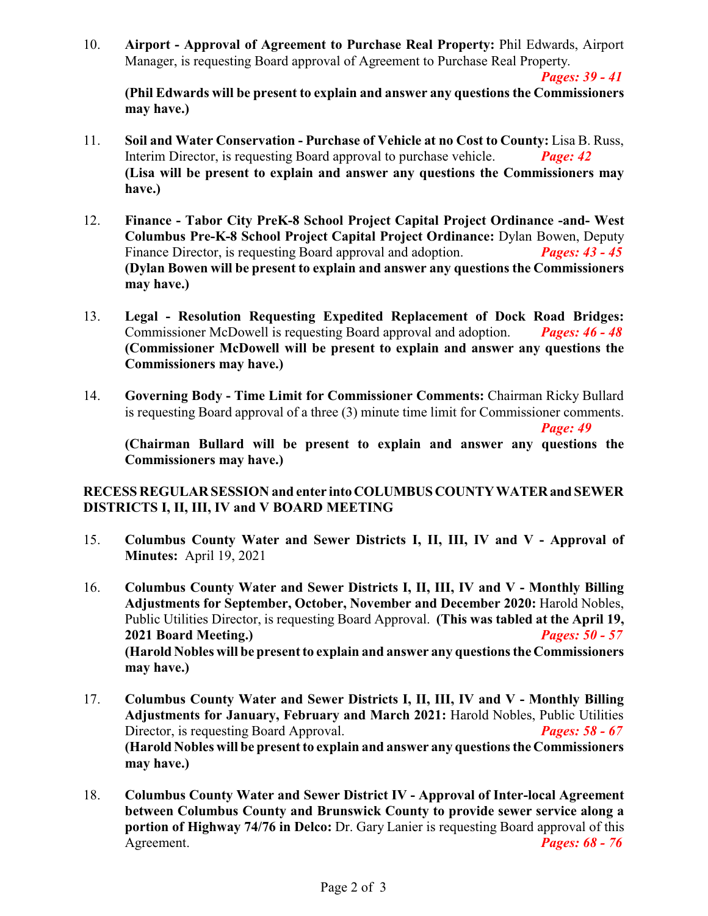10. **Airport - Approval of Agreement to Purchase Real Property:** Phil Edwards, Airport Manager, is requesting Board approval of Agreement to Purchase Real Property.

*Pages: 39 - 41*

**(Phil Edwards will be present to explain and answer any questions the Commissioners may have.)**

- 11. **Soil and Water Conservation Purchase of Vehicle at no Cost to County:** Lisa B. Russ, Interim Director, is requesting Board approval to purchase vehicle. *Page: 42*  **(Lisa will be present to explain and answer any questions the Commissioners may have.)**
- 12. **Finance Tabor City PreK-8 School Project Capital Project Ordinance -and- West Columbus Pre-K-8 School Project Capital Project Ordinance:** Dylan Bowen, Deputy Finance Director, is requesting Board approval and adoption. *Pages: 43 - 45* **(Dylan Bowen will be present to explain and answer any questions the Commissioners may have.)**
- 13. **Legal Resolution Requesting Expedited Replacement of Dock Road Bridges:** Commissioner McDowell is requesting Board approval and adoption. *Pages: 46 - 48* **(Commissioner McDowell will be present to explain and answer any questions the Commissioners may have.)**
- 14. **Governing Body Time Limit for Commissioner Comments:** Chairman Ricky Bullard is requesting Board approval of a three (3) minute time limit for Commissioner comments.

*Page: 49*

**(Chairman Bullard will be present to explain and answer any questions the Commissioners may have.)**

#### **RECESS REGULAR SESSION and enter intoCOLUMBUSCOUNTYWATERand SEWER DISTRICTS I, II, III, IV and V BOARD MEETING**

- 15. **Columbus County Water and Sewer Districts I, II, III, IV and V Approval of Minutes:** April 19, 2021
- 16. **Columbus County Water and Sewer Districts I, II, III, IV and V Monthly Billing Adjustments for September, October, November and December 2020:** Harold Nobles, Public Utilities Director, is requesting Board Approval. **(This was tabled at the April 19, 2021 Board Meeting.)** *Pages: 50 - 57* **(Harold Nobles will be present to explain and answer any questions the Commissioners may have.)**
- 17. **Columbus County Water and Sewer Districts I, II, III, IV and V Monthly Billing Adjustments for January, February and March 2021:** Harold Nobles, Public Utilities Director, is requesting Board Approval. *Pages: 58 - 67* **(Harold Nobles will be present to explain and answer any questions the Commissioners may have.)**
- 18. **Columbus County Water and Sewer District IV Approval of Inter-local Agreement between Columbus County and Brunswick County to provide sewer service along a portion of Highway 74/76 in Delco:** Dr. Gary Lanier is requesting Board approval of this Agreement. *Pages: 68 - 76*